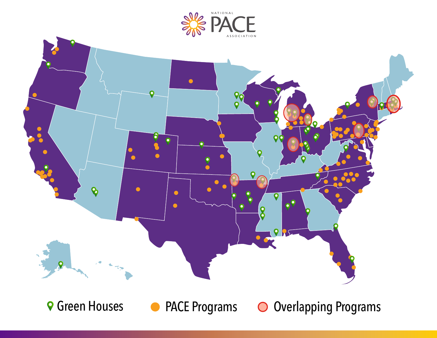



**● Green Houses ● PACE Programs ● Overlapping Programs**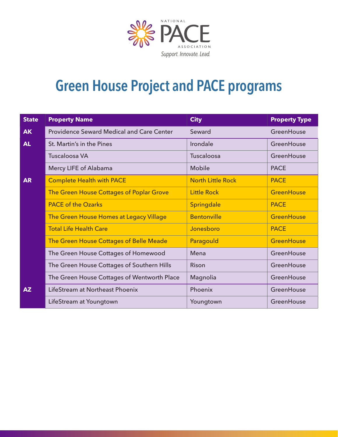

## **Green House Project and PACE programs**

| <b>State</b> | <b>Property Name</b>                             | <b>City</b>              | <b>Property Type</b> |
|--------------|--------------------------------------------------|--------------------------|----------------------|
| <b>AK</b>    | <b>Providence Seward Medical and Care Center</b> | Seward                   | GreenHouse           |
| AL           | St. Martin's in the Pines                        | Irondale                 | GreenHouse           |
|              | <b>Tuscaloosa VA</b>                             | Tuscaloosa               | GreenHouse           |
|              | Mercy LIFE of Alabama                            | Mobile                   | <b>PACE</b>          |
| <b>AR</b>    | <b>Complete Health with PACE</b>                 | <b>North Little Rock</b> | <b>PACE</b>          |
|              | The Green House Cottages of Poplar Grove         | <b>Little Rock</b>       | <b>GreenHouse</b>    |
|              | <b>PACE of the Ozarks</b>                        | Springdale               | <b>PACE</b>          |
|              | The Green House Homes at Legacy Village          | <b>Bentonville</b>       | <b>GreenHouse</b>    |
|              | <b>Total Life Health Care</b>                    | Jonesboro                | <b>PACE</b>          |
|              | <b>The Green House Cottages of Belle Meade</b>   | Paragould                | <b>GreenHouse</b>    |
|              | The Green House Cottages of Homewood             | Mena                     | GreenHouse           |
|              | The Green House Cottages of Southern Hills       | Rison                    | GreenHouse           |
|              | The Green House Cottages of Wentworth Place      | Magnolia                 | GreenHouse           |
| AZ           | LifeStream at Northeast Phoenix                  | Phoenix                  | GreenHouse           |
|              | LifeStream at Youngtown                          | Youngtown                | GreenHouse           |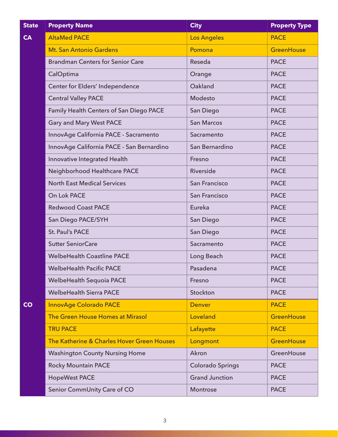| <b>State</b> | <b>Property Name</b>                       | <b>City</b>             | <b>Property Type</b> |
|--------------|--------------------------------------------|-------------------------|----------------------|
| <b>CA</b>    | <b>AltaMed PACE</b>                        | <b>Los Angeles</b>      | <b>PACE</b>          |
|              | Mt. San Antonio Gardens                    | Pomona                  | <b>GreenHouse</b>    |
|              | <b>Brandman Centers for Senior Care</b>    | Reseda                  | <b>PACE</b>          |
|              | CalOptima                                  | Orange                  | <b>PACE</b>          |
|              | Center for Elders' Independence            | Oakland                 | <b>PACE</b>          |
|              | <b>Central Valley PACE</b>                 | Modesto                 | <b>PACE</b>          |
|              | Family Health Centers of San Diego PACE    | San Diego               | <b>PACE</b>          |
|              | <b>Gary and Mary West PACE</b>             | <b>San Marcos</b>       | <b>PACE</b>          |
|              | InnovAge California PACE - Sacramento      | Sacramento              | <b>PACE</b>          |
|              | InnovAge California PACE - San Bernardino  | San Bernardino          | <b>PACE</b>          |
|              | Innovative Integrated Health               | Fresno                  | <b>PACE</b>          |
|              | Neighborhood Healthcare PACE               | Riverside               | <b>PACE</b>          |
|              | <b>North East Medical Services</b>         | San Francisco           | <b>PACE</b>          |
|              | On Lok PACE                                | San Francisco           | <b>PACE</b>          |
|              | <b>Redwood Coast PACE</b>                  | Eureka                  | <b>PACE</b>          |
|              | San Diego PACE/SYH                         | San Diego               | <b>PACE</b>          |
|              | St. Paul's PACE                            | San Diego               | <b>PACE</b>          |
|              | <b>Sutter SeniorCare</b>                   | Sacramento              | <b>PACE</b>          |
|              | <b>WelbeHealth Coastline PACE</b>          | Long Beach              | <b>PACE</b>          |
|              | <b>WelbeHealth Pacific PACE</b>            | Pasadena                | <b>PACE</b>          |
|              | <b>WelbeHealth Sequoia PACE</b>            | Fresno                  | <b>PACE</b>          |
|              | <b>WelbeHealth Sierra PACE</b>             | Stockton                | <b>PACE</b>          |
| CO           | <b>InnovAge Colorado PACE</b>              | <b>Denver</b>           | <b>PACE</b>          |
|              | The Green House Homes at Mirasol           | Loveland                | <b>GreenHouse</b>    |
|              | <b>TRU PACE</b>                            | Lafayette               | <b>PACE</b>          |
|              | The Katherine & Charles Hover Green Houses | Longmont                | <b>GreenHouse</b>    |
|              | <b>Washington County Nursing Home</b>      | Akron                   | GreenHouse           |
|              | <b>Rocky Mountain PACE</b>                 | <b>Colorado Springs</b> | <b>PACE</b>          |
|              | <b>HopeWest PACE</b>                       | <b>Grand Junction</b>   | <b>PACE</b>          |
|              | Senior CommUnity Care of CO                | Montrose                | <b>PACE</b>          |

3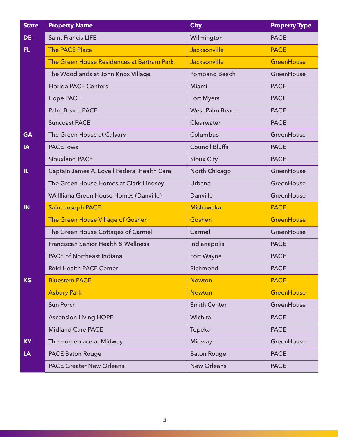| <b>State</b> | <b>Property Name</b>                           | <b>City</b>            | <b>Property Type</b> |
|--------------|------------------------------------------------|------------------------|----------------------|
| <b>DE</b>    | <b>Saint Francis LIFE</b>                      | Wilmington             | <b>PACE</b>          |
| FL.          | <b>The PACE Place</b>                          | Jacksonville           | <b>PACE</b>          |
|              | The Green House Residences at Bartram Park     | Jacksonville           | <b>GreenHouse</b>    |
|              | The Woodlands at John Knox Village             | Pompano Beach          | GreenHouse           |
|              | <b>Florida PACE Centers</b>                    | Miami                  | <b>PACE</b>          |
|              | <b>Hope PACE</b>                               | <b>Fort Myers</b>      | <b>PACE</b>          |
|              | <b>Palm Beach PACE</b>                         | <b>West Palm Beach</b> | <b>PACE</b>          |
|              | <b>Suncoast PACE</b>                           | Clearwater             | <b>PACE</b>          |
| <b>GA</b>    | The Green House at Calvary                     | Columbus               | GreenHouse           |
| <b>IA</b>    | <b>PACE</b> Iowa                               | <b>Council Bluffs</b>  | <b>PACE</b>          |
|              | <b>Siouxland PACE</b>                          | <b>Sioux City</b>      | <b>PACE</b>          |
| IL.          | Captain James A. Lovell Federal Health Care    | North Chicago          | GreenHouse           |
|              | The Green House Homes at Clark-Lindsey         | Urbana                 | GreenHouse           |
|              | VA Illiana Green House Homes (Danville)        | Danville               | GreenHouse           |
| <b>IN</b>    | <b>Saint Joseph PACE</b>                       | <b>Mishawaka</b>       | <b>PACE</b>          |
|              | The Green House Village of Goshen              | Goshen                 | <b>GreenHouse</b>    |
|              | The Green House Cottages of Carmel             | Carmel                 | GreenHouse           |
|              | <b>Franciscan Senior Health &amp; Wellness</b> | Indianapolis           | <b>PACE</b>          |
|              | <b>PACE of Northeast Indiana</b>               | Fort Wayne             | <b>PACE</b>          |
|              | <b>Reid Health PACE Center</b>                 | Richmond               | <b>PACE</b>          |
| <b>KS</b>    | <b>Bluestem PACE</b>                           | <b>Newton</b>          | <b>PACE</b>          |
|              | <b>Asbury Park</b>                             | <b>Newton</b>          | <b>GreenHouse</b>    |
|              | Sun Porch                                      | <b>Smith Center</b>    | GreenHouse           |
|              | <b>Ascension Living HOPE</b>                   | Wichita                | <b>PACE</b>          |
|              | <b>Midland Care PACE</b>                       | Topeka                 | <b>PACE</b>          |
| <b>KY</b>    | The Homeplace at Midway                        | Midway                 | GreenHouse           |
| LA           | <b>PACE Baton Rouge</b>                        | <b>Baton Rouge</b>     | <b>PACE</b>          |
|              | <b>PACE Greater New Orleans</b>                | <b>New Orleans</b>     | <b>PACE</b>          |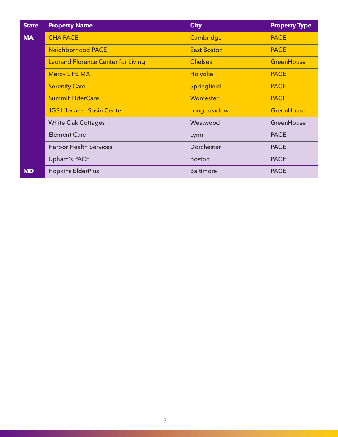| <b>State</b> | <b>Property Name</b>                      | <b>City</b>        | <b>Property Type</b> |
|--------------|-------------------------------------------|--------------------|----------------------|
| <b>MA</b>    | <b>CHA PACE</b>                           | Cambridge          | <b>PACE</b>          |
|              | <b>Neighborhood PACE</b>                  | <b>East Boston</b> | <b>PACE</b>          |
|              | <b>Leonard Florence Center for Living</b> | <b>Chelsea</b>     | <b>GreenHouse</b>    |
|              | <b>Mercy LIFE MA</b>                      | Holyoke            | <b>PACE</b>          |
|              | <b>Serenity Care</b>                      | Springfield        | <b>PACE</b>          |
|              | <b>Summit ElderCare</b>                   | Worcester          | <b>PACE</b>          |
|              | <b>JGS Lifecare - Sosin Center</b>        | Longmeadow         | <b>GreenHouse</b>    |
|              | <b>White Oak Cottages</b>                 | Westwood           | GreenHouse           |
|              | <b>Element Care</b>                       | Lynn               | <b>PACE</b>          |
|              | <b>Harbor Health Services</b>             | Dorchester         | <b>PACE</b>          |
|              | <b>Upham's PACE</b>                       | <b>Boston</b>      | <b>PACE</b>          |
| <b>MD</b>    | <b>Hopkins ElderPlus</b>                  | <b>Baltimore</b>   | <b>PACE</b>          |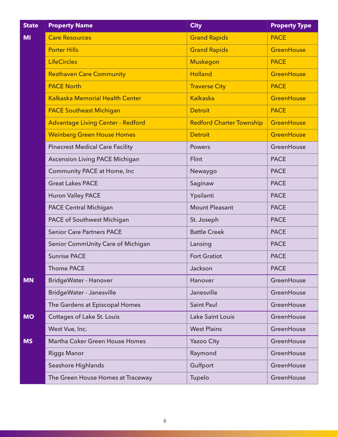| <b>State</b> | <b>Property Name</b>                     | <b>City</b>                     | <b>Property Type</b> |
|--------------|------------------------------------------|---------------------------------|----------------------|
| <b>MI</b>    | <b>Care Resources</b>                    | <b>Grand Rapids</b>             | <b>PACE</b>          |
|              | <b>Porter Hills</b>                      | <b>Grand Rapids</b>             | <b>GreenHouse</b>    |
|              | <b>LifeCircles</b>                       | <b>Muskegon</b>                 | <b>PACE</b>          |
|              | <b>Resthaven Care Community</b>          | <b>Holland</b>                  | <b>GreenHouse</b>    |
|              | <b>PACE North</b>                        | <b>Traverse City</b>            | <b>PACE</b>          |
|              | <b>Kalkaska Memorial Health Center</b>   | <b>Kalkaska</b>                 | <b>GreenHouse</b>    |
|              | <b>PACE Southeast Michigan</b>           | <b>Detroit</b>                  | <b>PACE</b>          |
|              | <b>Advantage Living Center - Redford</b> | <b>Redford Charter Township</b> | GreenHouse           |
|              | <b>Weinberg Green House Homes</b>        | <b>Detroit</b>                  | <b>GreenHouse</b>    |
|              | <b>Pinecrest Medical Care Facility</b>   | <b>Powers</b>                   | GreenHouse           |
|              | <b>Ascension Living PACE Michigan</b>    | Flint                           | <b>PACE</b>          |
|              | Community PACE at Home, Inc              | Newaygo                         | <b>PACE</b>          |
|              | <b>Great Lakes PACE</b>                  | Saginaw                         | <b>PACE</b>          |
|              | <b>Huron Valley PACE</b>                 | Ypsilanti                       | <b>PACE</b>          |
|              | <b>PACE Central Michigan</b>             | <b>Mount Pleasant</b>           | <b>PACE</b>          |
|              | PACE of Southwest Michigan               | St. Joseph                      | <b>PACE</b>          |
|              | <b>Senior Care Partners PACE</b>         | <b>Battle Creek</b>             | <b>PACE</b>          |
|              | Senior CommUnity Care of Michigan        | Lansing                         | <b>PACE</b>          |
|              | <b>Sunrise PACE</b>                      | <b>Fort Gratiot</b>             | <b>PACE</b>          |
|              | <b>Thome PACE</b>                        | Jackson                         | <b>PACE</b>          |
| <b>MN</b>    | BridgeWater - Hanover                    | Hanover                         | GreenHouse           |
|              | BridgeWater - Janesville                 | Janesville                      | GreenHouse           |
|              | The Gardens at Episcopal Homes           | <b>Saint Paul</b>               | GreenHouse           |
| <b>MO</b>    | Cottages of Lake St. Louis               | Lake Saint Louis                | GreenHouse           |
|              | West Vue, Inc.                           | <b>West Plains</b>              | GreenHouse           |
| <b>MS</b>    | Martha Coker Green House Homes           | <b>Yazoo City</b>               | GreenHouse           |
|              | <b>Riggs Manor</b>                       | Raymond                         | GreenHouse           |
|              | Seashore Highlands                       | Gulfport                        | GreenHouse           |
|              | The Green House Homes at Traceway        | Tupelo                          | GreenHouse           |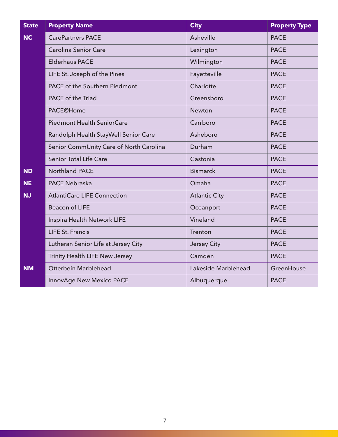| <b>State</b> | <b>Property Name</b>                    | <b>City</b>          | <b>Property Type</b> |
|--------------|-----------------------------------------|----------------------|----------------------|
| <b>NC</b>    | <b>CarePartners PACE</b>                | Asheville            | <b>PACE</b>          |
|              | <b>Carolina Senior Care</b>             | Lexington            | <b>PACE</b>          |
|              | <b>Elderhaus PACE</b>                   | Wilmington           | <b>PACE</b>          |
|              | LIFE St. Joseph of the Pines            | Fayetteville         | <b>PACE</b>          |
|              | <b>PACE of the Southern Piedmont</b>    | Charlotte            | <b>PACE</b>          |
|              | PACE of the Triad                       | Greensboro           | <b>PACE</b>          |
|              | <b>PACE@Home</b>                        | Newton               | <b>PACE</b>          |
|              | <b>Piedmont Health SeniorCare</b>       | Carrboro             | <b>PACE</b>          |
|              | Randolph Health StayWell Senior Care    | Asheboro             | <b>PACE</b>          |
|              | Senior CommUnity Care of North Carolina | Durham               | <b>PACE</b>          |
|              | <b>Senior Total Life Care</b>           | Gastonia             | <b>PACE</b>          |
| <b>ND</b>    | <b>Northland PACE</b>                   | <b>Bismarck</b>      | <b>PACE</b>          |
| <b>NE</b>    | <b>PACE Nebraska</b>                    | Omaha                | <b>PACE</b>          |
| <b>NJ</b>    | <b>AtlantiCare LIFE Connection</b>      | <b>Atlantic City</b> | <b>PACE</b>          |
|              | <b>Beacon of LIFE</b>                   | Oceanport            | <b>PACE</b>          |
|              | Inspira Health Network LIFE             | Vineland             | <b>PACE</b>          |
|              | <b>LIFE St. Francis</b>                 | Trenton              | <b>PACE</b>          |
|              | Lutheran Senior Life at Jersey City     | <b>Jersey City</b>   | <b>PACE</b>          |
|              | Trinity Health LIFE New Jersey          | Camden               | <b>PACE</b>          |
| <b>NM</b>    | Otterbein Marblehead                    | Lakeside Marblehead  | GreenHouse           |
|              | <b>InnovAge New Mexico PACE</b>         | Albuquerque          | <b>PACE</b>          |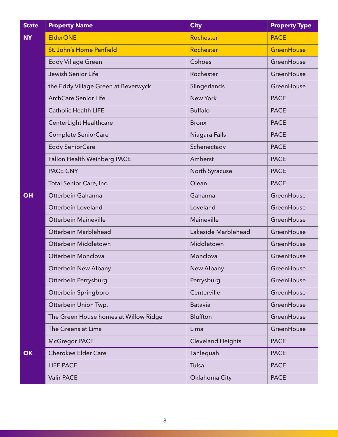| <b>State</b> | <b>Property Name</b>                  | <b>City</b>              | <b>Property Type</b> |
|--------------|---------------------------------------|--------------------------|----------------------|
| <b>NY</b>    | <b>ElderONE</b>                       | Rochester                | <b>PACE</b>          |
|              | St. John's Home Penfield              | Rochester                | <b>GreenHouse</b>    |
|              | <b>Eddy Village Green</b>             | Cohoes                   | GreenHouse           |
|              | Jewish Senior Life                    | Rochester                | GreenHouse           |
|              | the Eddy Village Green at Beverwyck   | Slingerlands             | GreenHouse           |
|              | <b>ArchCare Senior Life</b>           | <b>New York</b>          | <b>PACE</b>          |
|              | <b>Catholic Health LIFE</b>           | <b>Buffalo</b>           | <b>PACE</b>          |
|              | CenterLight Healthcare                | <b>Bronx</b>             | <b>PACE</b>          |
|              | <b>Complete SeniorCare</b>            | Niagara Falls            | <b>PACE</b>          |
|              | <b>Eddy SeniorCare</b>                | Schenectady              | <b>PACE</b>          |
|              | <b>Fallon Health Weinberg PACE</b>    | Amherst                  | <b>PACE</b>          |
|              | <b>PACE CNY</b>                       | North Syracuse           | <b>PACE</b>          |
|              | Total Senior Care, Inc.               | Olean                    | <b>PACE</b>          |
| <b>OH</b>    | Otterbein Gahanna                     | Gahanna                  | GreenHouse           |
|              | <b>Otterbein Loveland</b>             | Loveland                 | GreenHouse           |
|              | <b>Otterbein Maineville</b>           | <b>Maineville</b>        | GreenHouse           |
|              | Otterbein Marblehead                  | Lakeside Marblehead      | GreenHouse           |
|              | Otterbein Middletown                  | Middletown               | GreenHouse           |
|              | Otterbein Monclova                    | Monclova                 | GreenHouse           |
|              | <b>Otterbein New Albany</b>           | New Albany               | GreenHouse           |
|              | Otterbein Perrysburg                  | Perrysburg               | GreenHouse           |
|              | Otterbein Springboro                  | Centerville              | GreenHouse           |
|              | Otterbein Union Twp.                  | <b>Batavia</b>           | GreenHouse           |
|              | The Green House homes at Willow Ridge | <b>Bluffton</b>          | GreenHouse           |
|              | The Greens at Lima                    | Lima                     | GreenHouse           |
|              | <b>McGregor PACE</b>                  | <b>Cleveland Heights</b> | <b>PACE</b>          |
| OK           | <b>Cherokee Elder Care</b>            | Tahlequah                | <b>PACE</b>          |
|              | <b>LIFE PACE</b>                      | Tulsa                    | <b>PACE</b>          |
|              | <b>Valir PACE</b>                     | Oklahoma City            | <b>PACE</b>          |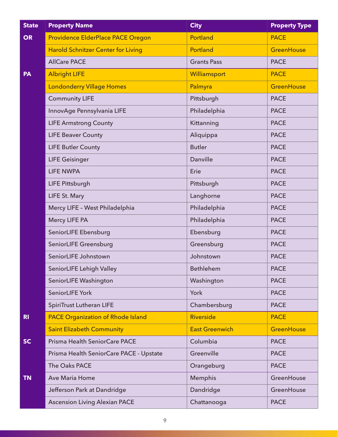| <b>State</b>   | <b>Property Name</b>                      | <b>City</b>           | <b>Property Type</b> |
|----------------|-------------------------------------------|-----------------------|----------------------|
| <b>OR</b>      | Providence ElderPlace PACE Oregon         | Portland              | <b>PACE</b>          |
|                | <b>Harold Schnitzer Center for Living</b> | Portland              | <b>GreenHouse</b>    |
|                | <b>AllCare PACE</b>                       | <b>Grants Pass</b>    | <b>PACE</b>          |
| PA             | <b>Albright LIFE</b>                      | Williamsport          | <b>PACE</b>          |
|                | <b>Londonderry Village Homes</b>          | Palmyra               | <b>GreenHouse</b>    |
|                | <b>Community LIFE</b>                     | Pittsburgh            | <b>PACE</b>          |
|                | InnovAge Pennsylvania LIFE                | Philadelphia          | <b>PACE</b>          |
|                | <b>LIFE Armstrong County</b>              | Kittanning            | <b>PACE</b>          |
|                | <b>LIFE Beaver County</b>                 | Aliquippa             | <b>PACE</b>          |
|                | <b>LIFE Butler County</b>                 | <b>Butler</b>         | <b>PACE</b>          |
|                | <b>LIFE Geisinger</b>                     | Danville              | <b>PACE</b>          |
|                | <b>LIFE NWPA</b>                          | Erie                  | <b>PACE</b>          |
|                | <b>LIFE Pittsburgh</b>                    | Pittsburgh            | <b>PACE</b>          |
|                | LIFE St. Mary                             | Langhorne             | <b>PACE</b>          |
|                | Mercy LIFE - West Philadelphia            | Philadelphia          | <b>PACE</b>          |
|                | Mercy LIFE PA                             | Philadelphia          | <b>PACE</b>          |
|                | SeniorLIFE Ebensburg                      | Ebensburg             | <b>PACE</b>          |
|                | SeniorLIFE Greensburg                     | Greensburg            | <b>PACE</b>          |
|                | SeniorLIFE Johnstown                      | Johnstown             | <b>PACE</b>          |
|                | SeniorLIFE Lehigh Valley                  | Bethlehem             | <b>PACE</b>          |
|                | SeniorLIFE Washington                     | Washington            | <b>PACE</b>          |
|                | SeniorLIFE York                           | York                  | <b>PACE</b>          |
|                | <b>SpiriTrust Lutheran LIFE</b>           | Chambersburg          | <b>PACE</b>          |
| R <sub>1</sub> | <b>PACE Organization of Rhode Island</b>  | <b>Riverside</b>      | <b>PACE</b>          |
|                | <b>Saint Elizabeth Community</b>          | <b>East Greenwich</b> | <b>GreenHouse</b>    |
| <b>SC</b>      | Prisma Health SeniorCare PACE             | Columbia              | <b>PACE</b>          |
|                | Prisma Health SeniorCare PACE - Upstate   | Greenville            | <b>PACE</b>          |
|                | The Oaks PACE                             | Orangeburg            | <b>PACE</b>          |
| <b>TN</b>      | <b>Ave Maria Home</b>                     | Memphis               | GreenHouse           |
|                | Jefferson Park at Dandridge               | Dandridge             | GreenHouse           |
|                | <b>Ascension Living Alexian PACE</b>      | Chattanooga           | <b>PACE</b>          |